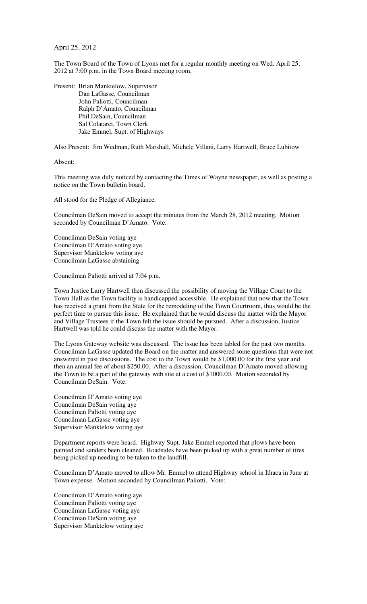## April 25, 2012

The Town Board of the Town of Lyons met for a regular monthly meeting on Wed. April 25, 2012 at 7:00 p.m. in the Town Board meeting room.

Present: Brian Manktelow, Supervisor Dan LaGasse, Councilman John Paliotti, Councilman Ralph D'Amato, Councilman Phil DeSain, Councilman Sal Colatarci, Town Clerk Jake Emmel, Supt. of Highways

Also Present: Jim Wedman, Ruth Marshall, Michele Villani, Larry Hartwell, Bruce Lubitow

Absent:

This meeting was duly noticed by contacting the Times of Wayne newspaper, as well as posting a notice on the Town bulletin board.

All stood for the Pledge of Allegiance.

Councilman DeSain moved to accept the minutes from the March 28, 2012 meeting. Motion seconded by Councilman D'Amato. Vote:

Councilman DeSain voting aye Councilman D'Amato voting aye Supervisor Manktelow voting aye Councilman LaGasse abstaining

Councilman Paliotti arrived at 7:04 p.m.

Town Justice Larry Hartwell then discussed the possibility of moving the Village Court to the Town Hall as the Town facility is handicapped accessible. He explained that now that the Town has received a grant from the State for the remodeling of the Town Courtroom, thus would be the perfect time to pursue this issue. He explained that he would discuss the matter with the Mayor and Village Trustees if the Town felt the issue should be pursued. After a discussion, Justice Hartwell was told he could discuss the matter with the Mayor.

The Lyons Gateway website was discussed. The issue has been tabled for the past two months. Councilman LaGasse updated the Board on the matter and answered some questions that were not answered in past discussions. The cost to the Town would be \$1,000.00 for the first year and then an annual fee of about \$250.00. After a discussion, Councilman D'Amato moved allowing the Town to be a part of the gateway web site at a cost of \$1000.00. Motion seconded by Councilman DeSain. Vote:

Councilman D'Amato voting aye Councilman DeSain voting aye Councilman Paliotti voting aye Councilman LaGasse voting aye Supervisor Manktelow voting aye

Department reports were heard. Highway Supt. Jake Emmel reported that plows have been painted and sanders been cleaned. Roadsides have been picked up with a great number of tires being picked up needing to be taken to the landfill.

Councilman D'Amato moved to allow Mr. Emmel to attend Highway school in Ithaca in June at Town expense. Motion seconded by Councilman Paliotti. Vote:

Councilman D'Amato voting aye Councilman Paliotti voting aye Councilman LaGasse voting aye Councilman DeSain voting aye Supervisor Manktelow voting aye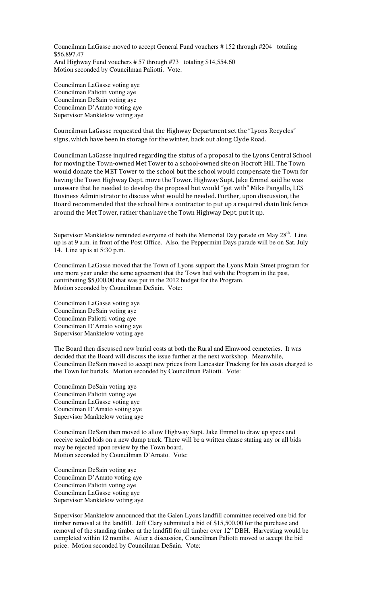Councilman LaGasse moved to accept General Fund vouchers # 152 through #204 totaling \$56,897.47 And Highway Fund vouchers # 57 through #73 totaling \$14,554.60 Motion seconded by Councilman Paliotti. Vote:

Councilman LaGasse voting aye Councilman Paliotti voting aye Councilman DeSain voting aye Councilman D'Amato voting aye Supervisor Manktelow voting aye

Councilman LaGasse requested that the Highway Department set the "Lyons Recycles" signs, which have been in storage for the winter, back out along Clyde Road.

Councilman LaGasse inquired regarding the status of a proposal to the Lyons Central School for moving the Town-owned Met Tower to a school-owned site on Hocroft Hill. The Town would donate the MET Tower to the school but the school would compensate the Town for having the Town Highway Dept. move the Tower. Highway Supt. Jake Emmel said he was unaware that he needed to develop the proposal but would "get with" Mike Pangallo, LCS Business Administrator to discuss what would be needed. Further, upon discussion, the Board recommended that the school hire a contractor to put up a required chain link fence around the Met Tower, rather than have the Town Highway Dept. put it up.

Supervisor Manktelow reminded everyone of both the Memorial Day parade on May  $28<sup>th</sup>$ . Line up is at 9 a.m. in front of the Post Office. Also, the Peppermint Days parade will be on Sat. July 14. Line up is at 5:30 p.m.

Councilman LaGasse moved that the Town of Lyons support the Lyons Main Street program for one more year under the same agreement that the Town had with the Program in the past, contributing \$5,000.00 that was put in the 2012 budget for the Program. Motion seconded by Councilman DeSain. Vote:

Councilman LaGasse voting aye Councilman DeSain voting aye Councilman Paliotti voting aye Councilman D'Amato voting aye Supervisor Manktelow voting aye

The Board then discussed new burial costs at both the Rural and Elmwood cemeteries. It was decided that the Board will discuss the issue further at the next workshop. Meanwhile, Councilman DeSain moved to accept new prices from Lancaster Trucking for his costs charged to the Town for burials. Motion seconded by Councilman Paliotti. Vote:

Councilman DeSain voting aye Councilman Paliotti voting aye Councilman LaGasse voting aye Councilman D'Amato voting aye Supervisor Manktelow voting aye

Councilman DeSain then moved to allow Highway Supt. Jake Emmel to draw up specs and receive sealed bids on a new dump truck. There will be a written clause stating any or all bids may be rejected upon review by the Town board. Motion seconded by Councilman D'Amato. Vote:

Councilman DeSain voting aye Councilman D'Amato voting aye Councilman Paliotti voting aye Councilman LaGasse voting aye Supervisor Manktelow voting aye

Supervisor Manktelow announced that the Galen Lyons landfill committee received one bid for timber removal at the landfill. Jeff Clary submitted a bid of \$15,500.00 for the purchase and removal of the standing timber at the landfill for all timber over 12" DBH. Harvesting would be completed within 12 months. After a discussion, Councilman Paliotti moved to accept the bid price. Motion seconded by Councilman DeSain. Vote: